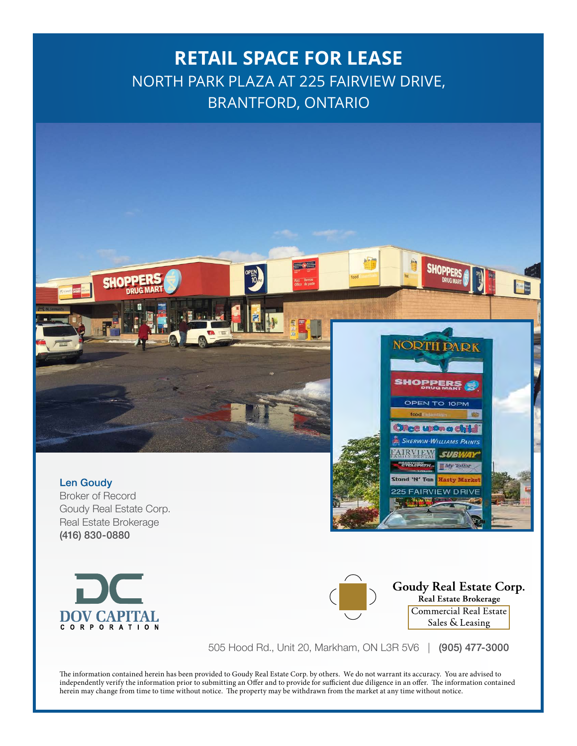# **RETAIL SPACE FOR LEASE** NORTH PARK PLAZA AT 225 FAIRVIEW DRIVE, BRANTFORD, ONTARIO



Len Goudy Broker of Record Goudy Real Estate Corp. Real Estate Brokerage (416) 830-0880





Stand 'N' Tan

**FAIRVIEW DRIVE** 

505 Hood Rd., Unit 20, Markham, ON L3R 5V6 | (905) 477-3000

The information contained herein has been provided to Goudy Real Estate Corp. by others. We do not warrant its accuracy. You are advised to independently verify the information prior to submitting an Offer and to provide for sufficient due diligence in an offer. The information contained herein may change from time to time without notice. The property may be withdrawn from the market at any time without notice.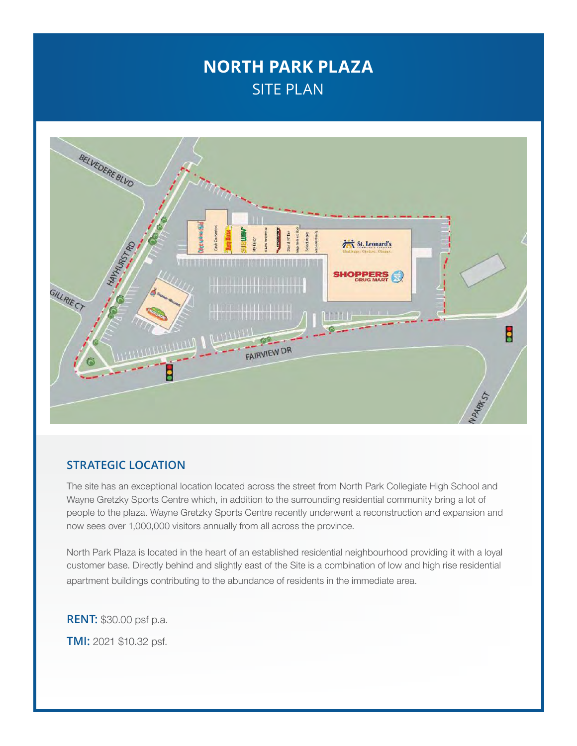## **NORTH PARK PLAZA** SITE PLAN



#### **STRATEGIC LOCATION**

The site has an exceptional location located across the street from North Park Collegiate High School and Wayne Gretzky Sports Centre which, in addition to the surrounding residential community bring a lot of people to the plaza. Wayne Gretzky Sports Centre recently underwent a reconstruction and expansion and now sees over 1,000,000 visitors annually from all across the province.

North Park Plaza is located in the heart of an established residential neighbourhood providing it with a loyal customer base. Directly behind and slightly east of the Site is a combination of low and high rise residential apartment buildings contributing to the abundance of residents in the immediate area.

**RENT:** \$30.00 psf p.a. **TMI:** 2021 \$10.32 psf.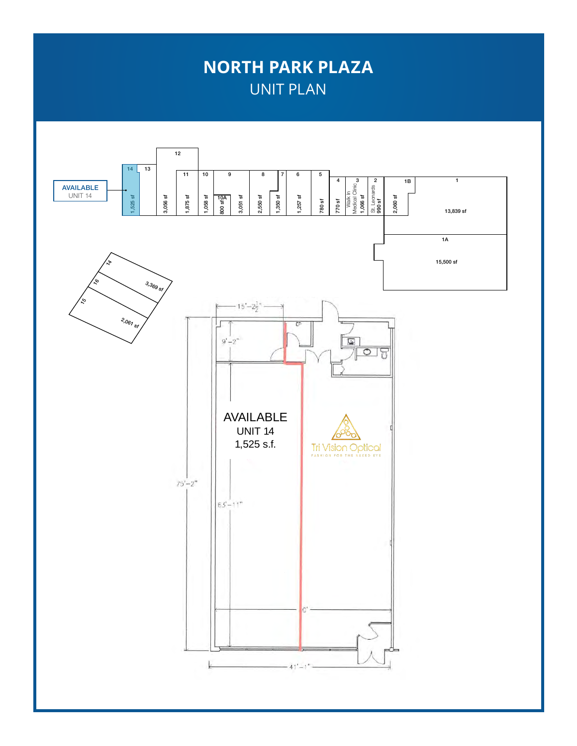## **NORTH PARK PLAZA** UNIT PLAN

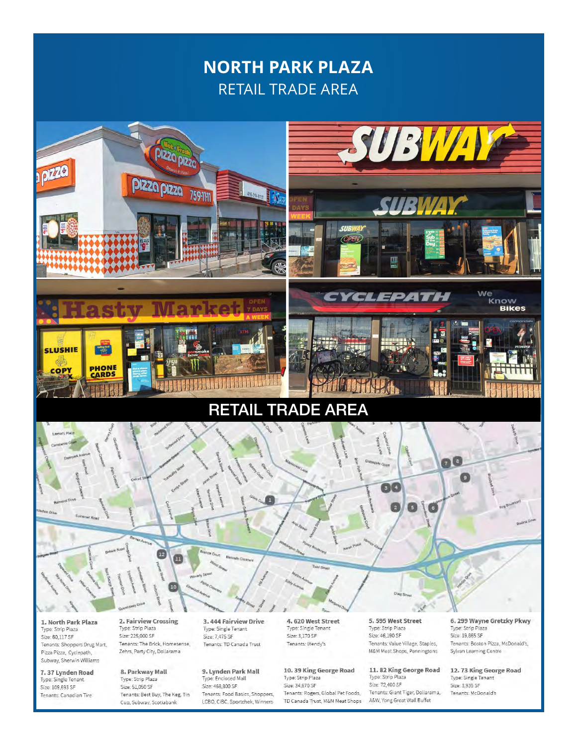## **NORTH PARK PLAZA RETAIL TRADE AREA**



1. North Park Plaza Type: Strip Plaza Size: 60,117 SF Tenants: Shoppers Drug Mart, Pizza Pizza, Cyclepath, Subway, Sherwin Williams

7.37 Lynden Road Type: Single Tenant Size: 109,693 SF Tenants: Canadian Tire

2. Fairview Crossing Type: Strip Plaza Size: 225,000 SF Tenants: The Brick, Homesense, Zehrs, Party City, Dollarama

8. Parkway Mall Type: Strip Plaza Size: 51,050 SF Tenants: Best Buy, The Keg, Tin Cup, Subway, Scotiabank

3.444 Fairview Drive Type: Single Tenant Size: 7,475 SF Tenants: TD Canada Trust

9. Lynden Park Mall Type: Enclosed Mall Size: 468,800 SF Tenants: Food Basics, Shoppers, LCBO, CIBC, Sportchek, Winners 4.620 West Street Type: Single Tenant Size: 3 170 SF Tenants: Wendy's

10.39 King George Road Type: Strip Plaza Size: 34,670 SF Tenants: Rogers, Global Pet Foods, TD Canada Trust, M&M Meat Shops 5, 595 West Street Type: Strip Plaza Size: 46,190 SF Tenants: Value Village, Staples, **M&M Meat Shops, Penningtons** 

11. 82 King George Road<br>Type: Strip Plaza Size: 72,400 SF Tenants: Giant Tiger, Dollarama, A&W, Yong Great Wall Buffet

6, 299 Wayne Gretzky Pkwy Type: Strip Plaza Size: 19,865 SF Tenants: Boston Pizza, McDonald's, Sylvan Learning Centre

12.73 King George Road Type: Single Tenant Size: 3,935 SF Tenants: McDonald's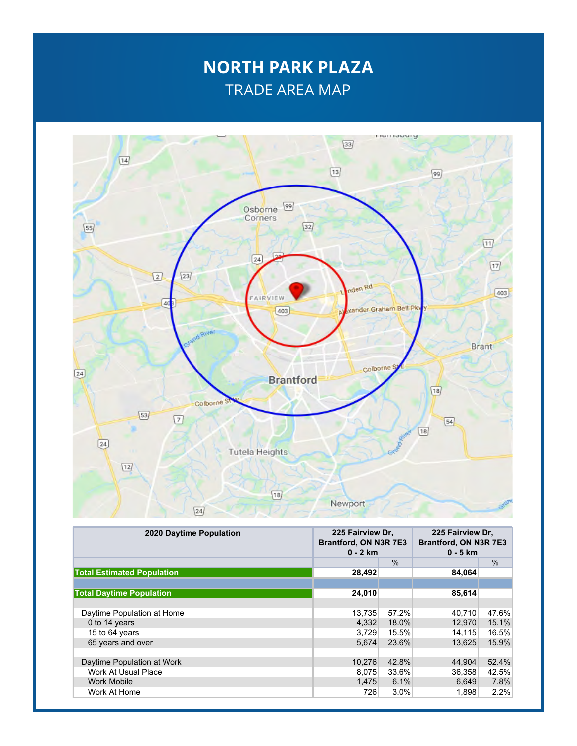### **NORTH PARK PLAZA** TRADE AREA MAP



| <b>2020 Daytime Population</b>    | 225 Fairview Dr.<br>Brantford, ON N3R 7E3<br>$0 - 2$ km |       | 225 Fairview Dr.<br>Brantford, ON N3R 7E3<br>$0 - 5$ km |               |
|-----------------------------------|---------------------------------------------------------|-------|---------------------------------------------------------|---------------|
|                                   |                                                         | $\%$  |                                                         | $\frac{0}{0}$ |
| <b>Total Estimated Population</b> | 28,492                                                  |       | 84,064                                                  |               |
|                                   |                                                         |       |                                                         |               |
| <b>Total Daytime Population</b>   | 24,010                                                  |       | 85,614                                                  |               |
|                                   |                                                         |       |                                                         |               |
| Daytime Population at Home        | 13.735                                                  | 57.2% | 40.710                                                  | 47.6%         |
| 0 to 14 years                     | 4.332                                                   | 18.0% | 12.970                                                  | 15.1%         |
| 15 to 64 years                    | 3,729                                                   | 15.5% | 14.115                                                  | 16.5%         |
| 65 years and over                 | 5.674                                                   | 23.6% | 13.625                                                  | 15.9%         |
|                                   |                                                         |       |                                                         |               |
| Daytime Population at Work        | 10,276                                                  | 42.8% | 44,904                                                  | 52.4%         |
| <b>Work At Usual Place</b>        | 8.075                                                   | 33.6% | 36.358                                                  | 42.5%         |
| <b>Work Mobile</b>                | 1,475                                                   | 6.1%  | 6,649                                                   | 7.8%          |
| Work At Home                      | 726                                                     | 3.0%  | 1,898                                                   | 2.2%          |